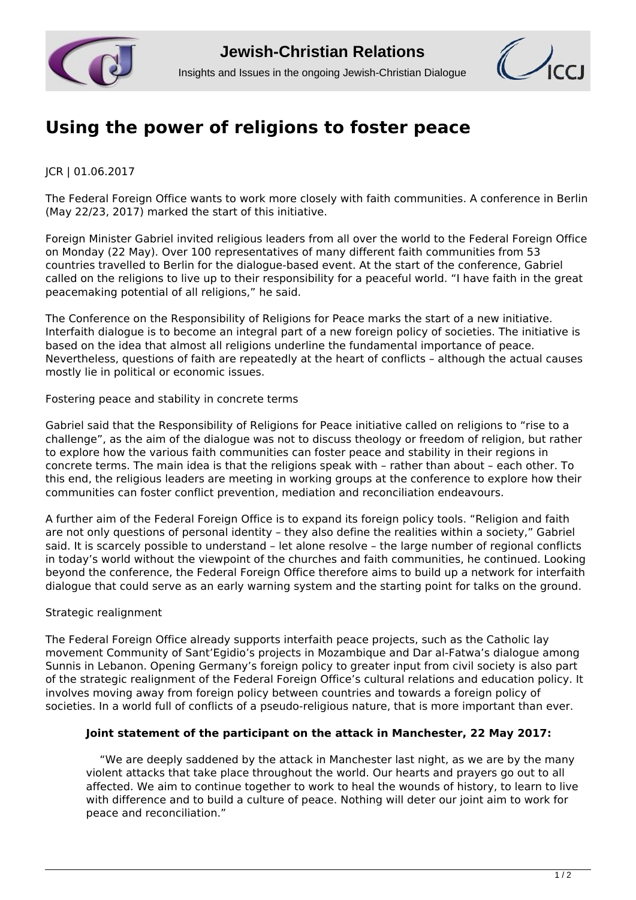



## **[Using the power of religions to foster peace](http://www.jcrelations.net/Using_the_power_of_religions_to_foster_peace.5692.0.html?L=3)**

JCR | 01.06.2017

The Federal Foreign Office wants to work more closely with faith communities. A conference in Berlin (May 22/23, 2017) marked the start of this initiative.

Foreign Minister Gabriel invited religious leaders from all over the world to the Federal Foreign Office on Monday (22 May). Over 100 representatives of many different faith communities from 53 countries travelled to Berlin for the dialogue-based event. At the start of the conference, Gabriel called on the religions to live up to their responsibility for a peaceful world. "I have faith in the great peacemaking potential of all religions," he said.

The Conference on the Responsibility of Religions for Peace marks the start of a new initiative. Interfaith dialogue is to become an integral part of a new foreign policy of societies. The initiative is based on the idea that almost all religions underline the fundamental importance of peace. Nevertheless, questions of faith are repeatedly at the heart of conflicts – although the actual causes mostly lie in political or economic issues.

Fostering peace and stability in concrete terms

Gabriel said that the Responsibility of Religions for Peace initiative called on religions to "rise to a challenge", as the aim of the dialogue was not to discuss theology or freedom of religion, but rather to explore how the various faith communities can foster peace and stability in their regions in concrete terms. The main idea is that the religions speak with – rather than about – each other. To this end, the religious leaders are meeting in working groups at the conference to explore how their communities can foster conflict prevention, mediation and reconciliation endeavours.

A further aim of the Federal Foreign Office is to expand its foreign policy tools. "Religion and faith are not only questions of personal identity – they also define the realities within a society," Gabriel said. It is scarcely possible to understand – let alone resolve – the large number of regional conflicts in today's world without the viewpoint of the churches and faith communities, he continued. Looking beyond the conference, the Federal Foreign Office therefore aims to build up a network for interfaith dialogue that could serve as an early warning system and the starting point for talks on the ground.

## Strategic realignment

The Federal Foreign Office already supports interfaith peace projects, such as the Catholic lay movement Community of Sant'Egidio's projects in Mozambique and Dar al-Fatwa's dialogue among Sunnis in Lebanon. Opening Germany's foreign policy to greater input from civil society is also part of the strategic realignment of the Federal Foreign Office's cultural relations and education policy. It involves moving away from foreign policy between countries and towards a foreign policy of societies. In a world full of conflicts of a pseudo-religious nature, that is more important than ever.

## **Joint statement of the participant on the attack in Manchester, 22 May 2017:**

 "We are deeply saddened by the attack in Manchester last night, as we are by the many violent attacks that take place throughout the world. Our hearts and prayers go out to all affected. We aim to continue together to work to heal the wounds of history, to learn to live with difference and to build a culture of peace. Nothing will deter our joint aim to work for peace and reconciliation."